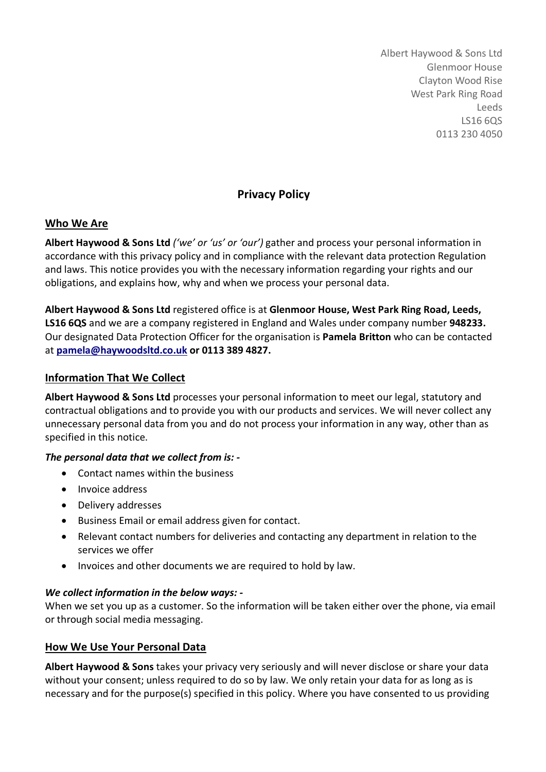Albert Haywood & Sons Ltd Glenmoor House Clayton Wood Rise West Park Ring Road Leeds LS16 6QS 0113 230 4050

# **Privacy Policy**

### **Who We Are**

**Albert Haywood & Sons Ltd** *('we' or 'us' or 'our')* gather and process your personal information in accordance with this privacy policy and in compliance with the relevant data protection Regulation and laws. This notice provides you with the necessary information regarding your rights and our obligations, and explains how, why and when we process your personal data.

**Albert Haywood & Sons Ltd** registered office is at **Glenmoor House, West Park Ring Road, Leeds, LS16 6QS** and we are a company registered in England and Wales under company number **948233.**  Our designated Data Protection Officer for the organisation is **Pamela Britton** who can be contacted at **pamela@haywoodsltd.co.uk or 0113 389 4827.** 

### **Information That We Collect**

**Albert Haywood & Sons Ltd** processes your personal information to meet our legal, statutory and contractual obligations and to provide you with our products and services. We will never collect any unnecessary personal data from you and do not process your information in any way, other than as specified in this notice.

#### *The personal data that we collect from is: -*

- Contact names within the business
- Invoice address
- Delivery addresses
- Business Email or email address given for contact.
- Relevant contact numbers for deliveries and contacting any department in relation to the services we offer
- Invoices and other documents we are required to hold by law.

#### *We collect information in the below ways: -*

When we set you up as a customer. So the information will be taken either over the phone, via email or through social media messaging.

# **How We Use Your Personal Data**

**Albert Haywood & Sons** takes your privacy very seriously and will never disclose or share your data without your consent; unless required to do so by law. We only retain your data for as long as is necessary and for the purpose(s) specified in this policy. Where you have consented to us providing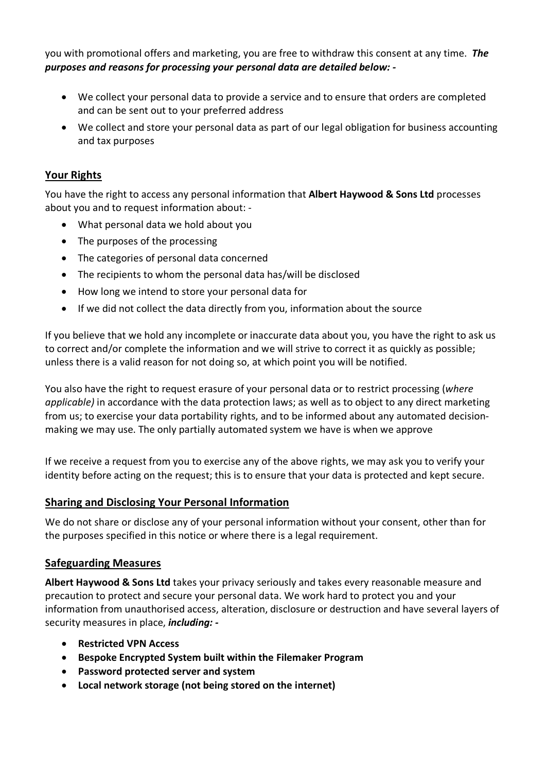you with promotional offers and marketing, you are free to withdraw this consent at any time. *The purposes and reasons for processing your personal data are detailed below: -*

- We collect your personal data to provide a service and to ensure that orders are completed and can be sent out to your preferred address
- We collect and store your personal data as part of our legal obligation for business accounting and tax purposes

# **Your Rights**

You have the right to access any personal information that **Albert Haywood & Sons Ltd** processes about you and to request information about: -

- What personal data we hold about you
- The purposes of the processing
- The categories of personal data concerned
- The recipients to whom the personal data has/will be disclosed
- How long we intend to store your personal data for
- If we did not collect the data directly from you, information about the source

If you believe that we hold any incomplete or inaccurate data about you, you have the right to ask us to correct and/or complete the information and we will strive to correct it as quickly as possible; unless there is a valid reason for not doing so, at which point you will be notified.

You also have the right to request erasure of your personal data or to restrict processing (*where applicable)* in accordance with the data protection laws; as well as to object to any direct marketing from us; to exercise your data portability rights, and to be informed about any automated decisionmaking we may use. The only partially automated system we have is when we approve

If we receive a request from you to exercise any of the above rights, we may ask you to verify your identity before acting on the request; this is to ensure that your data is protected and kept secure.

# **Sharing and Disclosing Your Personal Information**

We do not share or disclose any of your personal information without your consent, other than for the purposes specified in this notice or where there is a legal requirement.

# **Safeguarding Measures**

**Albert Haywood & Sons Ltd** takes your privacy seriously and takes every reasonable measure and precaution to protect and secure your personal data. We work hard to protect you and your information from unauthorised access, alteration, disclosure or destruction and have several layers of security measures in place, *including: -*

- **Restricted VPN Access**
- **Bespoke Encrypted System built within the Filemaker Program**
- **Password protected server and system**
- **Local network storage (not being stored on the internet)**